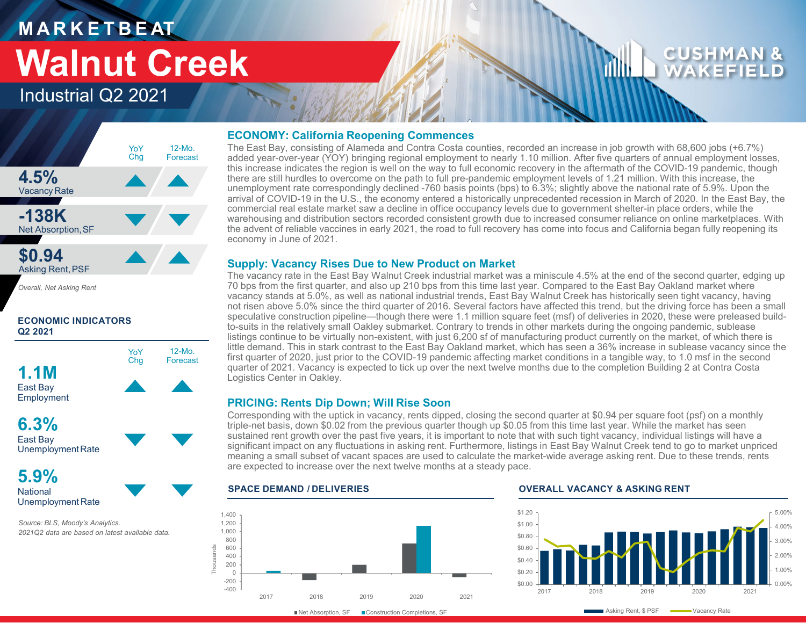# **M A R K E T B E AT Walnut Creek**

# Industrial Q2 2021



*Overall, Net Asking Rent*

# **ECONOMIC INDICATORS Q2 2021**



**5.9% National** Unemployment Rate

*Source: BLS, Moody's Analytics. 2021Q2 data are based on latest available data.* 

# **ECONOMY: California Reopening Commences**

The East Bay, consisting of Alameda and Contra Costa counties, recorded an increase in job growth with 68,600 jobs (+6.7%) added year-over-year (YOY) bringing regional employment to nearly 1.10 million. After five quarters of annual employment losses, this increase indicates the region is well on the way to full economic recovery in the aftermath of the COVID-19 pandemic, though there are still hurdles to overcome on the path to full pre-pandemic employment levels of 1.21 million. With this increase, the unemployment rate correspondingly declined -760 basis points (bps) to 6.3%; slightly above the national rate of 5.9%. Upon the arrival of COVID-19 in the U.S., the economy entered a historically unprecedented recession in March of 2020. In the East Bay, the commercial real estate market saw a decline in office occupancy levels due to government shelter-in place orders, while the warehousing and distribution sectors recorded consistent growth due to increased consumer reliance on online marketplaces. With the advent of reliable vaccines in early 2021, the road to full recovery has come into focus and California began fully reopening its economy in June of 2021.

# **Supply: Vacancy Rises Due to New Product on Market**

The vacancy rate in the East Bay Walnut Creek industrial market was a miniscule 4.5% at the end of the second quarter, edging up 70 bps from the first quarter, and also up 210 bps from this time last year. Compared to the East Bay Oakland market where vacancy stands at 5.0%, as well as national industrial trends, East Bay Walnut Creek has historically seen tight vacancy, having not risen above 5.0% since the third quarter of 2016. Several factors have affected this trend, but the driving force has been a small speculative construction pipeline—though there were 1.1 million square feet (msf) of deliveries in 2020, these were preleased buildto-suits in the relatively small Oakley submarket. Contrary to trends in other markets during the ongoing pandemic, sublease listings continue to be virtually non-existent, with just 6,200 sf of manufacturing product currently on the market, of which there is little demand. This in stark contrast to the East Bay Oakland market, which has seen a 36% increase in sublease vacancy since the first quarter of 2020, just prior to the COVID-19 pandemic affecting market conditions in a tangible way, to 1.0 msf in the second quarter of 2021. Vacancy is expected to tick up over the next twelve months due to the completion Building 2 at Contra Costa Logistics Center in Oakley.

# **PRICING: Rents Dip Down; Will Rise Soon**

Corresponding with the uptick in vacancy, rents dipped, closing the second quarter at \$0.94 per square foot (psf) on a monthly triple-net basis, down \$0.02 from the previous quarter though up \$0.05 from this time last year. While the market has seen sustained rent growth over the past five years, it is important to note that with such tight vacancy, individual listings will have a significant impact on any fluctuations in asking rent. Furthermore, listings in East Bay Walnut Creek tend to go to market unpriced meaning a small subset of vacant spaces are used to calculate the market-wide average asking rent. Due to these trends, rents are expected to increase over the next twelve months at a steady pace.



# **SPACE DEMAND / DELIVERIES OVERALL VACANCY & ASKING RENT**



CUSHM WAKFF

■Net Absorption, SF ■ Construction Completions, SF

Asking Rent, \$ PSF Wacancy Rate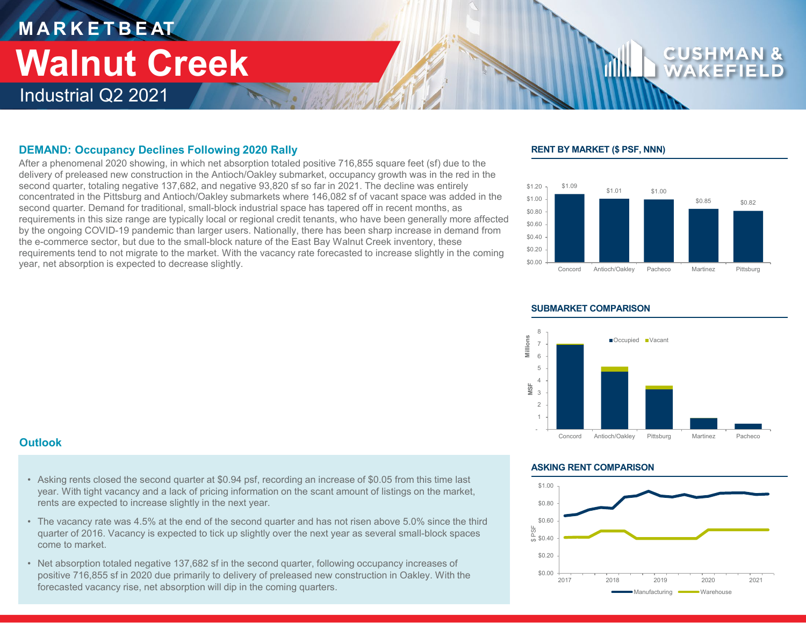# **M A R K E T B E AT** Industrial Q2 2021 **Walnut Creek**

# **DEMAND: Occupancy Declines Following 2020 Rally**

After a phenomenal 2020 showing, in which net absorption totaled positive 716,855 square feet (sf) due to the delivery of preleased new construction in the Antioch/Oakley submarket, occupancy growth was in the red in the second quarter, totaling negative 137,682, and negative 93,820 sf so far in 2021. The decline was entirely concentrated in the Pittsburg and Antioch/Oakley submarkets where 146,082 sf of vacant space was added in the second quarter. Demand for traditional, small-block industrial space has tapered off in recent months, as requirements in this size range are typically local or regional credit tenants, who have been generally more affected by the ongoing COVID-19 pandemic than larger users. Nationally, there has been sharp increase in demand from the e-commerce sector, but due to the small-block nature of the East Bay Walnut Creek inventory, these requirements tend to not migrate to the market. With the vacancy rate forecasted to increase slightly in the coming year, net absorption is expected to decrease slightly.

# **RENT BY MARKET (\$ PSF, NNN)**





### **SUBMARKET COMPARISON**

# **Outlook**

- Asking rents closed the second quarter at \$0.94 psf, recording an increase of \$0.05 from this time last year. With tight vacancy and a lack of pricing information on the scant amount of listings on the market, rents are expected to increase slightly in the next year.
- The vacancy rate was 4.5% at the end of the second quarter and has not risen above 5.0% since the third quarter of 2016. Vacancy is expected to tick up slightly over the next year as several small-block spaces come to market.
- Net absorption totaled negative 137,682 sf in the second quarter, following occupancy increases of positive 716,855 sf in 2020 due primarily to delivery of preleased new construction in Oakley. With the forecasted vacancy rise, net absorption will dip in the coming quarters.

### **ASKING RENT COMPARISON**

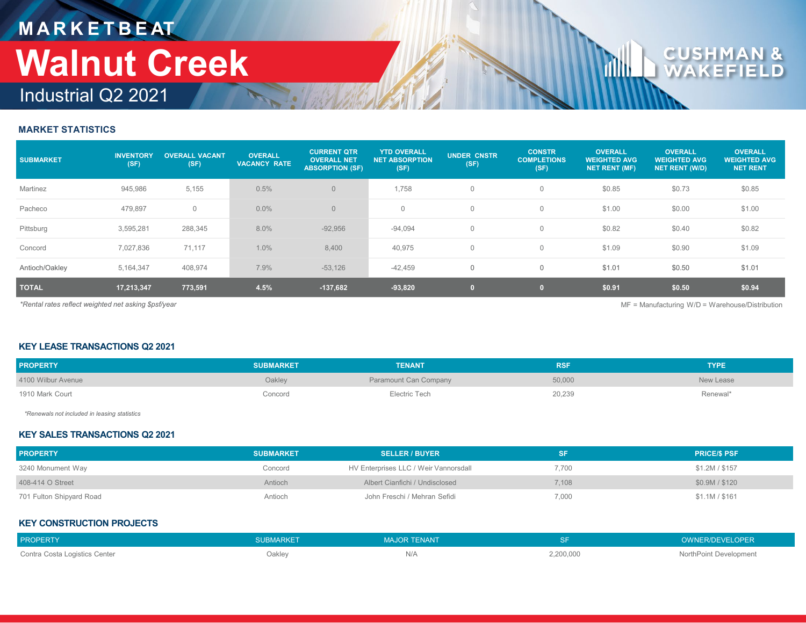# **M A R K E T B E AT** Industrial Q2 2021 **Walnut Creek**

# CU

# **MARKET STATISTICS**

| <b>SUBMARKET</b>                                                                                          | <b>INVENTORY</b><br>(SF) | <b>OVERALL VACANT</b><br>(SF) | <b>OVERALL</b><br><b>VACANCY RATE</b> | <b>CURRENT QTR</b><br><b>OVERALL NET</b><br><b>ABSORPTION (SF)</b> | <b>YTD OVERALL</b><br><b>NET ABSORPTION</b><br>(SF) | <b>UNDER CNSTR</b><br>(SF) | <b>CONSTR</b><br><b>COMPLETIONS</b><br>(SF) | <b>OVERALL</b><br><b>WEIGHTED AVG</b><br><b>NET RENT (MF)</b> | <b>OVERALL</b><br><b>WEIGHTED AVG</b><br><b>NET RENT (W/D)</b> | <b>OVERALL</b><br><b>WEIGHTED AVG</b><br><b>NET RENT</b> |
|-----------------------------------------------------------------------------------------------------------|--------------------------|-------------------------------|---------------------------------------|--------------------------------------------------------------------|-----------------------------------------------------|----------------------------|---------------------------------------------|---------------------------------------------------------------|----------------------------------------------------------------|----------------------------------------------------------|
| Martinez                                                                                                  | 945,986                  | 5,155                         | 0.5%                                  | $\overline{0}$                                                     | 1,758                                               | $\mathbf 0$                | $\Omega$                                    | \$0.85                                                        | \$0.73                                                         | \$0.85                                                   |
| Pacheco                                                                                                   | 479,897                  | $\mathbf 0$                   | $0.0\%$                               | $\overline{0}$                                                     | $\mathbf 0$                                         | $\mathbf 0$                | $\Omega$                                    | \$1.00                                                        | \$0.00                                                         | \$1.00                                                   |
| Pittsburg                                                                                                 | 3,595,281                | 288,345                       | 8.0%                                  | $-92,956$                                                          | $-94,094$                                           | $\mathbf{0}$               | $\Omega$                                    | \$0.82                                                        | \$0.40                                                         | \$0.82                                                   |
| Concord                                                                                                   | 7,027,836                | 71,117                        | 1.0%                                  | 8,400                                                              | 40,975                                              | $\mathbf 0$                | $\Omega$                                    | \$1.09                                                        | \$0.90                                                         | \$1.09                                                   |
| Antioch/Oakley                                                                                            | 5,164,347                | 408,974                       | 7.9%                                  | $-53,126$                                                          | $-42,459$                                           | $\mathbf 0$                | $\mathbf{0}$                                | \$1.01                                                        | \$0.50                                                         | \$1.01                                                   |
| <b>TOTAL</b>                                                                                              | 17,213,347               | 773,591                       | 4.5%                                  | $-137,682$                                                         | $-93,820$                                           | $\bullet$                  | $\mathbf{0}$                                | \$0.91                                                        | \$0.50                                                         | \$0.94                                                   |
| *Rental rates reflect weighted net asking \$psf/year<br>$MF =$ Manufacturing W/D = Warehouse/Distribution |                          |                               |                                       |                                                                    |                                                     |                            |                                             |                                                               |                                                                |                                                          |

# **KEY LEASE TRANSACTIONS Q2 2021**

| <b>PROPERTY</b>    | <b>SUBMARKET</b> | <b>TENANT</b>         | <b>RSF</b> | <b>TYPE</b> |
|--------------------|------------------|-----------------------|------------|-------------|
| 4100 Wilbur Avenue | Oakley           | Paramount Can Company | 50,000     | New Lease   |
| 1910 Mark Court    | Concord          | Electric Tech         | 20,239     | Renewal*    |

*\*Renewals not included in leasing statistics*

# **KEY SALES TRANSACTIONS Q2 2021**

| <b>PROPERTY</b>          | <b>SUBMARKET</b> | <b>SELLER / BUYER</b>                 | SF    | <b>PRICE/S PSF</b> |
|--------------------------|------------------|---------------------------------------|-------|--------------------|
| 3240 Monument Way        | Concord          | HV Enterprises LLC / Weir Vannorsdall | 7.700 | \$1.2M/\$157       |
| 408-414 O Street         | Antioch          | Albert Cianfichi / Undisclosed        | 7.108 | \$0.9M / \$120     |
| 701 Fulton Shipyard Road | Antioch          | John Freschi / Mehran Sefidi          | 7,000 | \$1.1M / \$161     |

# **KEY CONSTRUCTION PROJECTS**

| <b>PROPERTY</b>               | <b>SUBMARKET</b> | <b>MAJOR TENANT</b> |           | OWNER/DEVELOPER        |
|-------------------------------|------------------|---------------------|-----------|------------------------|
| Contra Costa Logistics Center | Oakley           | IV/A                | 2,200,000 | NorthPoint Development |